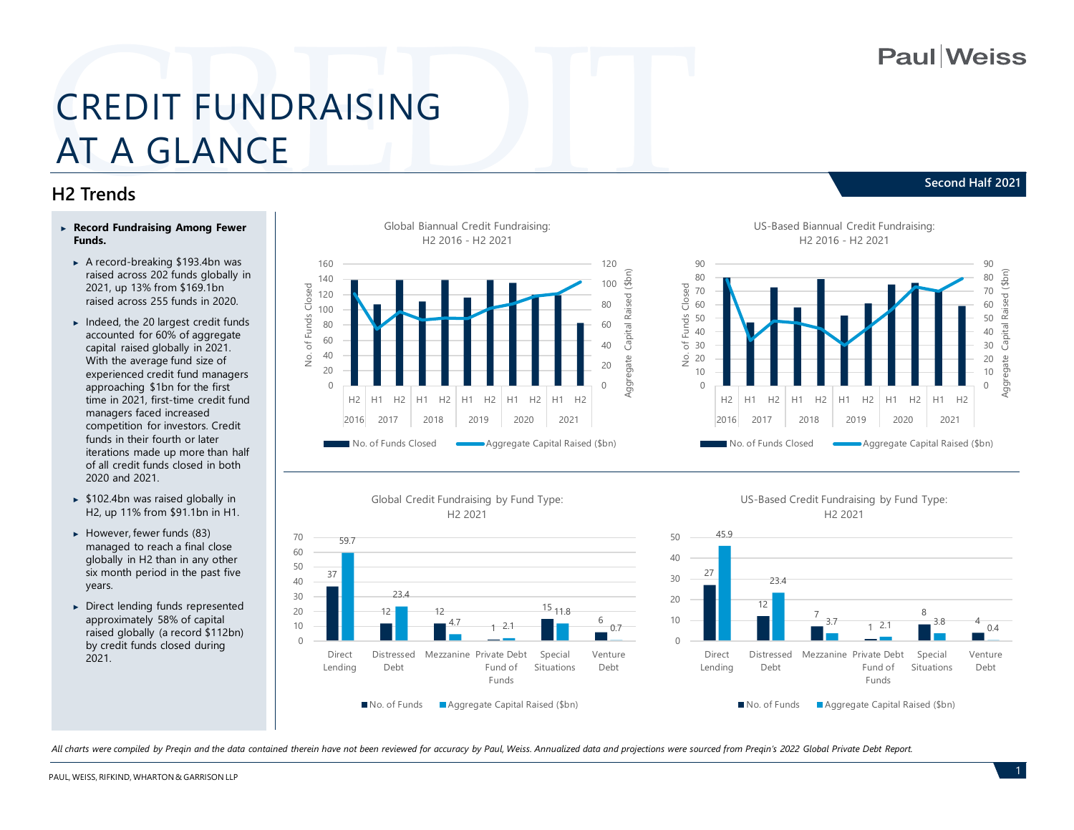**Paul**Weiss

**Second Half 2021**

# CREDIT FUNDRAISING AT A GLANCE

#### **H2 Trends**

- ► **Record Fundraising Among Fewer Funds.** 
	- ► A record-breaking \$193.4bn was raised across 202 funds globally in 2021, up 13% from \$169.1bn raised across 255 funds in 2020.
	- ► Indeed, the 20 largest credit funds accounted for 60% of aggregate capital raised globally in 2021. With the average fund size of experienced credit fund managers approaching \$1bn for the first time in 2021, first-time credit fund managers faced increased competition for investors. Credit funds in their fourth or later iterations made up more than half of all credit funds closed in both 2020 and 2021.
	- ► \$102.4bn was raised globally in H2, up 11% from \$91.1bn in H1.
	- ► However, fewer funds (83) managed to reach a final close globally in H2 than in any other six month period in the past five years.
	- ► Direct lending funds represented approximately 58% of capital raised globally (a record \$112bn) by credit funds closed during 2021.











*All charts were compiled by Preqin and the data contained therein have not been reviewed for accuracy by Paul, Weiss. Annualized data and projections were sourced from Preqin's 2022 Global Private Debt Report.*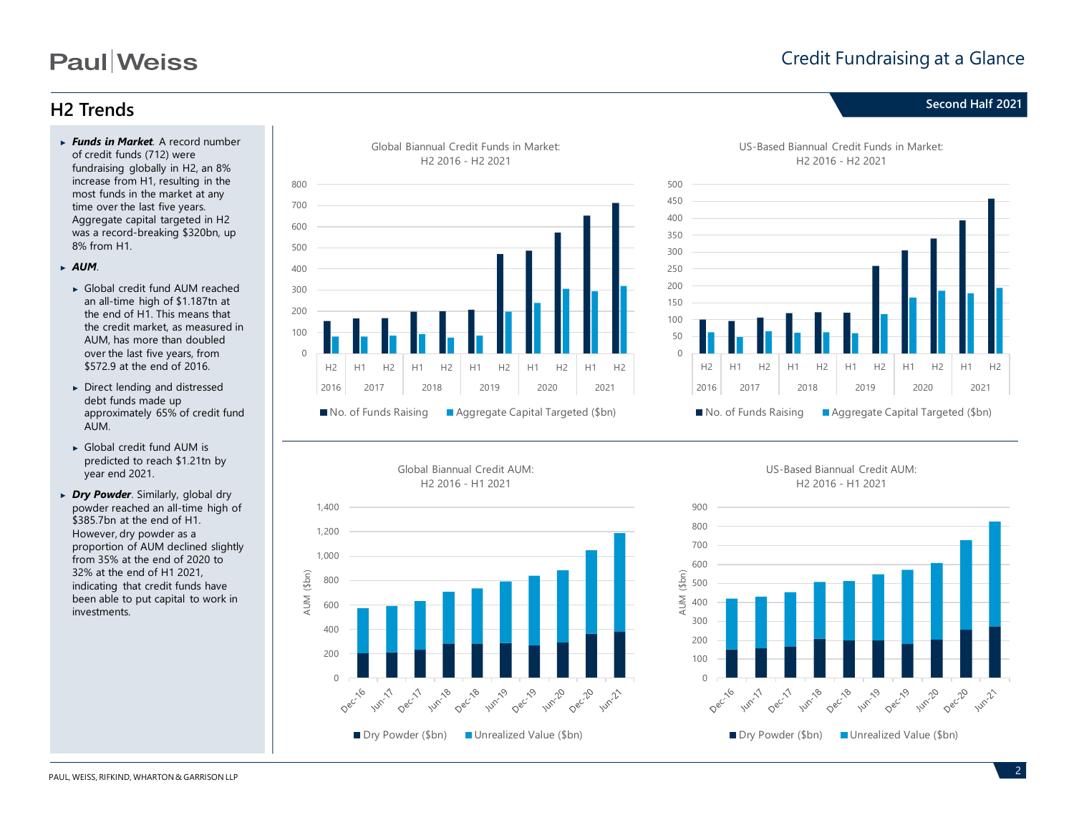## **Paul**Weiss

#### Credit Fundraising at a Glance

### **Second Half 2021 H2 Trends**

- ► *Funds in Market.* A record number of credit funds (712) were fundraising globally in H2, an 8% increase from H1, resulting in the most funds in the market at any time over the last five years. Aggregate capital targeted in H2 was a record-breaking \$320bn, up 8% from H1.
- ► *AUM*.
	- ► Global credit fund AUM reached an all-time high of \$1.187tn at the end of H1. This means that the credit market, as measured in AUM, has more than doubled over the last five years, from \$572.9 at the end of 2016.
	- ► Direct lending and distressed debt funds made up approximately 65% of credit fund AUM.
	- ► Global credit fund AUM is predicted to reach \$1.21tn by year end 2021.
- ► *Dry Powder*. Similarly, global dry powder reached an all-time high of \$385.7bn at the end of H1. However, dry powder as a proportion of AUM declined slightly from 35% at the end of 2020 to 32% at the end of H1 2021, indicating that credit funds have been able to put capital to work in investments.







US-Based Biannual Credit Funds in Market: H2 2016 - H2 2021





US-Based Biannual Credit AUM: H2 2016 - H1 2021